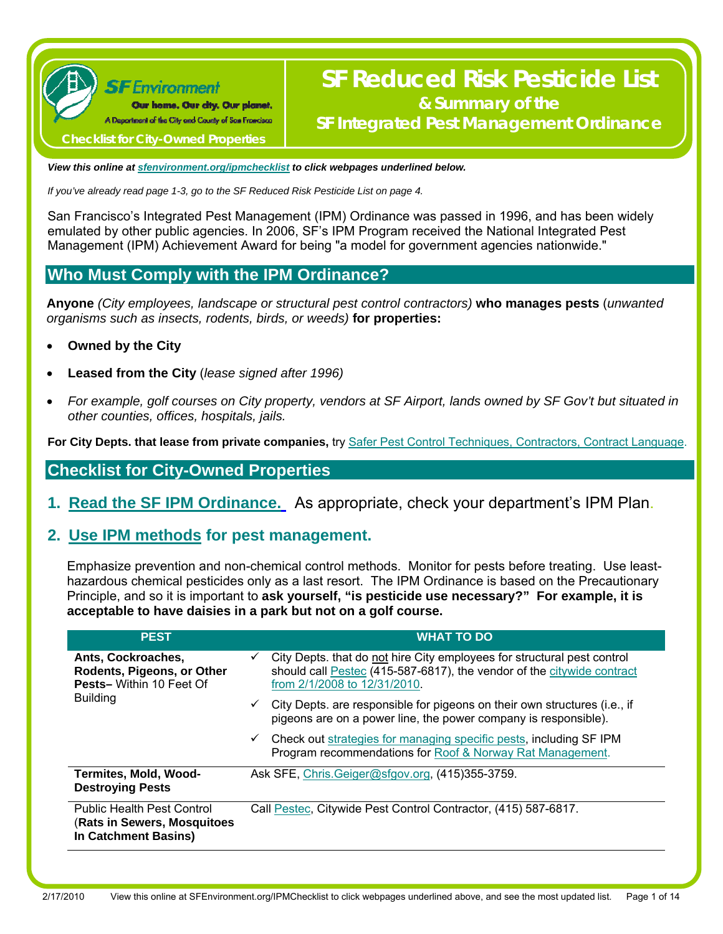

# **SF Reduced Risk Pesticide List & Summary of the SF Integrated Pest Management Ordinance**

 **Checklist for City-Owned Properties** 

*View this online at [sfenvironment.org/ipmchecklist](http://www.sfenvironment.org/ipmchecklist) to click webpages underlined below.* 

*If you've already read page 1-3, go to the SF Reduced Risk Pesticide List on page 4.* 

San Francisco's Integrated Pest Management (IPM) Ordinance was passed in 1996, and has been widely emulated by other public agencies. In 2006, SF's IPM Program received the National Integrated Pest Management (IPM) Achievement Award for being "a model for government agencies nationwide."

## **Who Must Comply with the IPM Ordinance?**

**Anyone** *(City employees, landscape or structural pest control contractors)* **who manages pests** (*unwanted organisms such as insects, rodents, birds, or weeds)* **for properties:**

- **Owned by the City**
- **Leased from the City** (*lease signed after 1996)*
- *For example, golf courses on City property, vendors at SF Airport, lands owned by SF Gov't but situated in other counties, offices, hospitals, jails.*

For City Depts. that lease from private companies, try [Safer Pest Control Techniques, Contractors, Contract Language](http://www.sfenvironment.org/our_programs/interests.html?ssi=2&ti=1&ii=121).

## **Checklist for City-Owned Properties**

**1. [Read the SF IPM Ordinance.](http://www.municode.com/Resources/gateway.asp?pid=14134&sid=5)** As appropriate, check your department's IPM Plan.

## **2. [Use IPM methods](http://www.sfenvironment.org/our_programs/interests.html?ssi=2&ti=1&ii=121) for pest management.**

Emphasize prevention and non-chemical control methods. Monitor for pests before treating. Use leasthazardous chemical pesticides only as a last resort. The IPM Ordinance is based on the Precautionary Principle, and so it is important to **ask yourself, "is pesticide use necessary?" For example, it is acceptable to have daisies in a park but not on a golf course.** 

| <b>PEST</b>                                                                              | <b>WHAT TO DO</b>                                                                                                                                                                 |
|------------------------------------------------------------------------------------------|-----------------------------------------------------------------------------------------------------------------------------------------------------------------------------------|
| Ants, Cockroaches,<br>Rodents, Pigeons, or Other<br><b>Pests-Within 10 Feet Of</b>       | City Depts. that do not hire City employees for structural pest control<br>should call Pestec (415-587-6817), the vendor of the citywide contract<br>from 2/1/2008 to 12/31/2010. |
| <b>Building</b>                                                                          | City Depts. are responsible for pigeons on their own structures (i.e., if<br>✓<br>pigeons are on a power line, the power company is responsible).                                 |
|                                                                                          | $\checkmark$ Check out strategies for managing specific pests, including SF IPM<br>Program recommendations for Roof & Norway Rat Management.                                      |
| <b>Termites, Mold, Wood-</b><br><b>Destroying Pests</b>                                  | Ask SFE, Chris.Geiger@sfgov.org, (415)355-3759.                                                                                                                                   |
| <b>Public Health Pest Control</b><br>(Rats in Sewers, Mosquitoes<br>In Catchment Basins) | Call Pestec, Citywide Pest Control Contractor, (415) 587-6817.                                                                                                                    |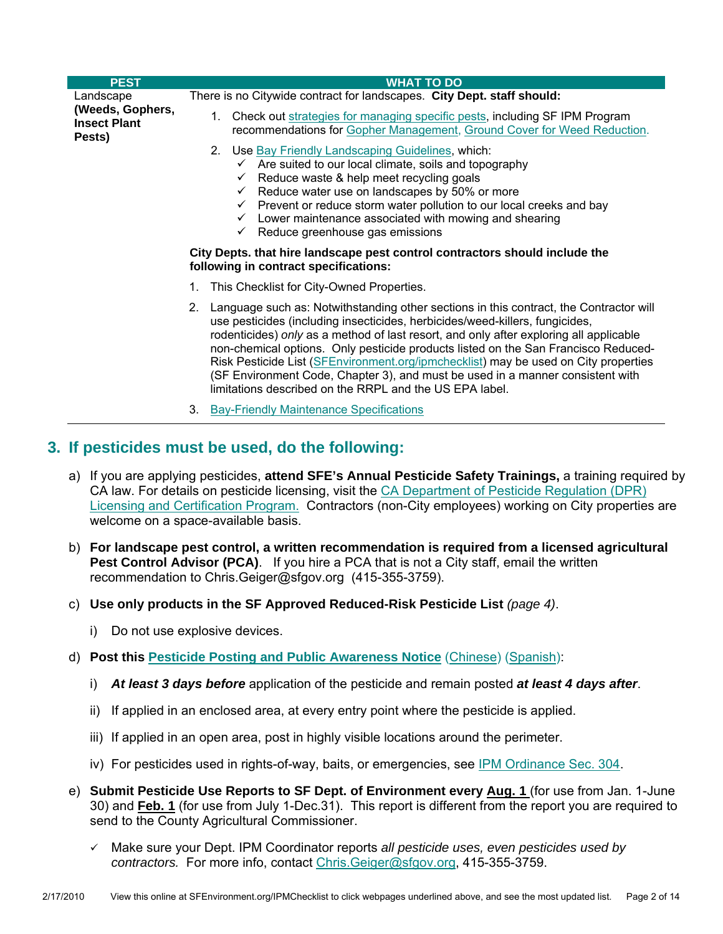| <b>PEST</b>                                       | <b>WHAT TO DO</b>                                                                                                                                                                                                                                                                                                                                                                                                                                                                                                                                                                                |
|---------------------------------------------------|--------------------------------------------------------------------------------------------------------------------------------------------------------------------------------------------------------------------------------------------------------------------------------------------------------------------------------------------------------------------------------------------------------------------------------------------------------------------------------------------------------------------------------------------------------------------------------------------------|
| Landscape                                         | There is no Citywide contract for landscapes. City Dept. staff should:                                                                                                                                                                                                                                                                                                                                                                                                                                                                                                                           |
| (Weeds, Gophers,<br><b>Insect Plant</b><br>Pests) | 1. Check out strategies for managing specific pests, including SF IPM Program<br>recommendations for Gopher Management, Ground Cover for Weed Reduction.                                                                                                                                                                                                                                                                                                                                                                                                                                         |
|                                                   | 2. Use Bay Friendly Landscaping Guidelines, which:<br>Are suited to our local climate, soils and topography<br>$\checkmark$<br>Reduce waste & help meet recycling goals<br>$\checkmark$<br>Reduce water use on landscapes by 50% or more<br>✓<br>$\checkmark$ Prevent or reduce storm water pollution to our local creeks and bay<br>Lower maintenance associated with mowing and shearing<br>$\checkmark$<br>$\checkmark$ Reduce greenhouse gas emissions<br>City Depts. that hire landscape pest control contractors should include the<br>following in contract specifications:               |
|                                                   | This Checklist for City-Owned Properties.<br>1.                                                                                                                                                                                                                                                                                                                                                                                                                                                                                                                                                  |
|                                                   | Language such as: Notwithstanding other sections in this contract, the Contractor will<br>2.<br>use pesticides (including insecticides, herbicides/weed-killers, fungicides,<br>rodenticides) only as a method of last resort, and only after exploring all applicable<br>non-chemical options. Only pesticide products listed on the San Francisco Reduced-<br>Risk Pesticide List (SFEnvironment.org/ipmchecklist) may be used on City properties<br>(SF Environment Code, Chapter 3), and must be used in a manner consistent with<br>limitations described on the RRPL and the US EPA label. |

3. [Bay-Friendly Maintenance Specifications](http://www.stopwaste.org/home/index.asp?page=778)

## **3. If pesticides must be used, do the following:**

- a) If you are applying pesticides, **attend SFE's Annual Pesticide Safety Trainings,** a training required by CA law. For details on pesticide licensing, visit the [CA Department of Pesticide Regulation \(DPR\)](http://www.cdpr.ca.gov/docs/license/liccert.htm)  [Licensing and Certification Program.](http://www.cdpr.ca.gov/docs/license/liccert.htm) Contractors (non-City employees) working on City properties are welcome on a space-available basis.
- b) **For landscape pest control, a written recommendation is required from a licensed agricultural Pest Control Advisor (PCA)**.If you hire a PCA that is not a City staff, email the written recommendation to [Chris.Geiger@sfgov.org](mailto:Chris.Geiger@sfgov.org) (415-355-3759).
- c) **Use only products in the SF Approved Reduced-Risk Pesticide List** *(page 4)*.
	- i) Do not use explosive devices.
- d) **Post this [Pesticide Posting and Public Awareness Notice](http://www.sfenvironment.org/downloads/library/epostingnoticeblankenglish.doc)** ([Chinese](http://www.sfenvironment.org/downloads/library/epostingnoticeblankchinese.pdf)) [\(Spanish](http://www.sfenvironment.org/downloads/library/epostingnoticeblankspanish.doc)):
	- i) *At least 3 days before* application of the pesticide and remain posted *at least 4 days after*.
	- ii) If applied in an enclosed area, at every entry point where the pesticide is applied.
	- iii) If applied in an open area, post in highly visible locations around the perimeter.
	- iv) For pesticides used in rights-of-way, baits, or emergencies, see [IPM Ordinance Sec. 304](http://www.sfenvironment.org/downloads/library/ipmordinance.pdf).
- e) **Submit Pesticide Use Reports to SF Dept. of Environment every Aug. 1** (for use from Jan. 1-June 30) and **Feb. 1** (for use from July 1-Dec.31). This report is different from the report you are required to send to the County Agricultural Commissioner.
	- Make sure your Dept. IPM Coordinator reports *all pesticide uses, even pesticides used by contractors.* For more info, contact [Chris.Geiger@sfgov.org](mailto:Chris.Geiger@sfgov.org), 415-355-3759.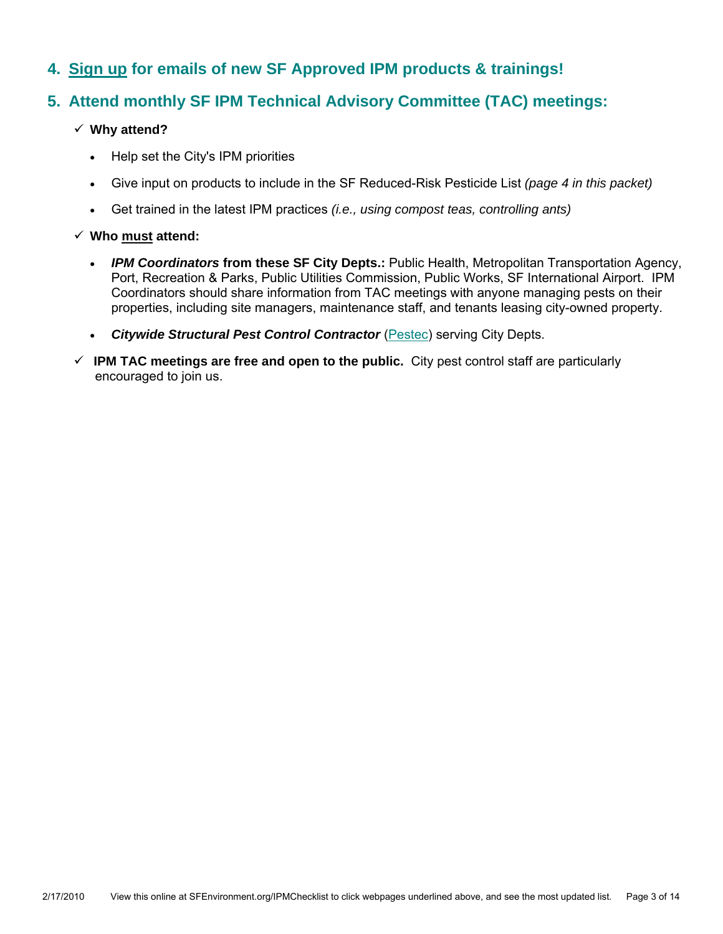## **4. [Sign up](http://www.sfenvironment.org/our_programs/interests.html?ssi=9&ti=22&ii=196) for emails of new SF Approved IPM products & trainings!**

## **5. Attend monthly SF IPM Technical Advisory Committee (TAC) meetings:**

### **Why attend?**

- Help set the City's IPM priorities
- Give input on products to include in the SF Reduced-Risk Pesticide List *(page 4 in this packet)*
- Get trained in the latest IPM practices *(i.e., using compost teas, controlling ants)*

### **Who must attend:**

- *IPM Coordinators* **from these SF City Depts.:** Public Health, Metropolitan Transportation Agency, Port, Recreation & Parks, Public Utilities Commission, Public Works, SF International Airport. IPM Coordinators should share information from TAC meetings with anyone managing pests on their properties, including site managers, maintenance staff, and tenants leasing city-owned property.
- *Citywide Structural Pest Control Contractor* (Pestec) serving City Depts.
- **IPM TAC meetings are free and open to the public.** City pest control staff are particularly encouraged to join us.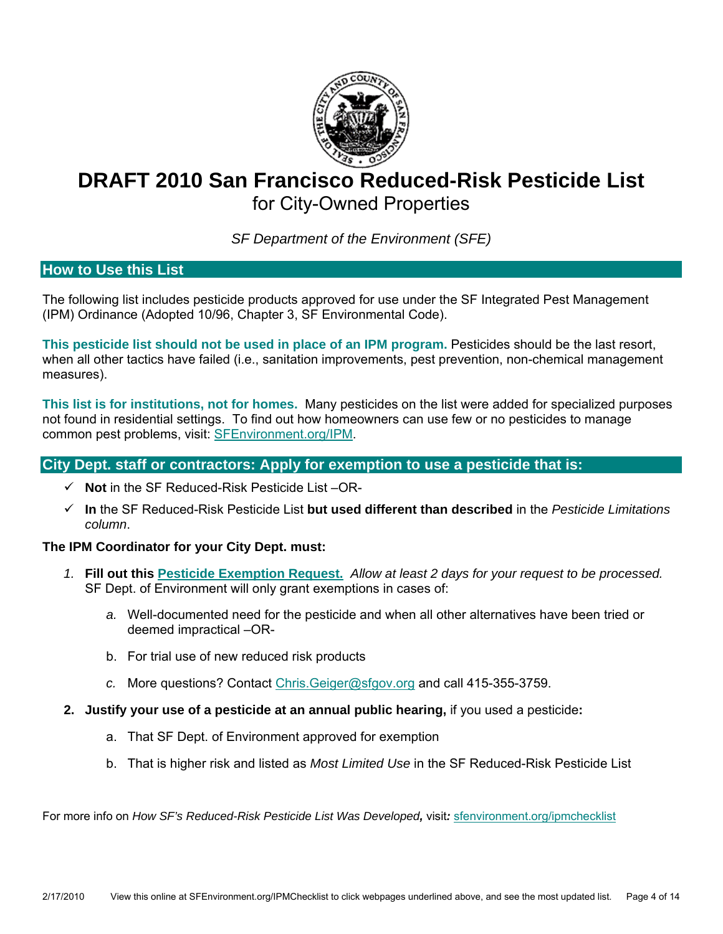

# **DRAFT 2010 San Francisco Reduced-Risk Pesticide List**  for City-Owned Properties

*SF Department of the Environment (SFE)*

### **How to Use this List**

The following list includes pesticide products approved for use under the SF Integrated Pest Management (IPM) Ordinance (Adopted 10/96, Chapter 3, SF Environmental Code).

**This pesticide list should not be used in place of an IPM program.** Pesticides should be the last resort, when all other tactics have failed (i.e., sanitation improvements, pest prevention, non-chemical management measures).

**This list is for institutions, not for homes.** Many pesticides on the list were added for specialized purposes not found in residential settings. To find out how homeowners can use few or no pesticides to manage common pest problems, visit: SFEnvironment.org/IPM.

### **City Dept. staff or contractors: Apply for exemption to use a pesticide that is:**

- **Not** in the SF Reduced-Risk Pesticide List –OR-
- **In** the SF Reduced-Risk Pesticide List **but used different than described** in the *Pesticide Limitations column*.

#### **The IPM Coordinator for your City Dept. must:**

- *1.* **Fill out this [Pesticide Exemption Request.](https://sfetoxicsreduction.wufoo.com/forms/pesticide-exemption-request/)** *Allow at least 2 days for your request to be processed.*  SF Dept. of Environment will only grant exemptions in cases of:
	- *a.* Well-documented need for the pesticide and when all other alternatives have been tried or deemed impractical –OR-
	- b. For trial use of new reduced risk products
	- *c.* More questions? Contact [Chris.Geiger@sfgov.org](mailto:chris.geiger@sfgov.org) and call 415-355-3759.
- **2. Justify your use of a pesticide at an annual public hearing,** if you used a pesticide**:** 
	- a. That SF Dept. of Environment approved for exemption
	- b. That is higher risk and listed as *Most Limited Use* in the SF Reduced-Risk Pesticide List

For more info on *How SF's Reduced-Risk Pesticide List Was Developed,* visit*:* sfenvironment.org/ipmchecklist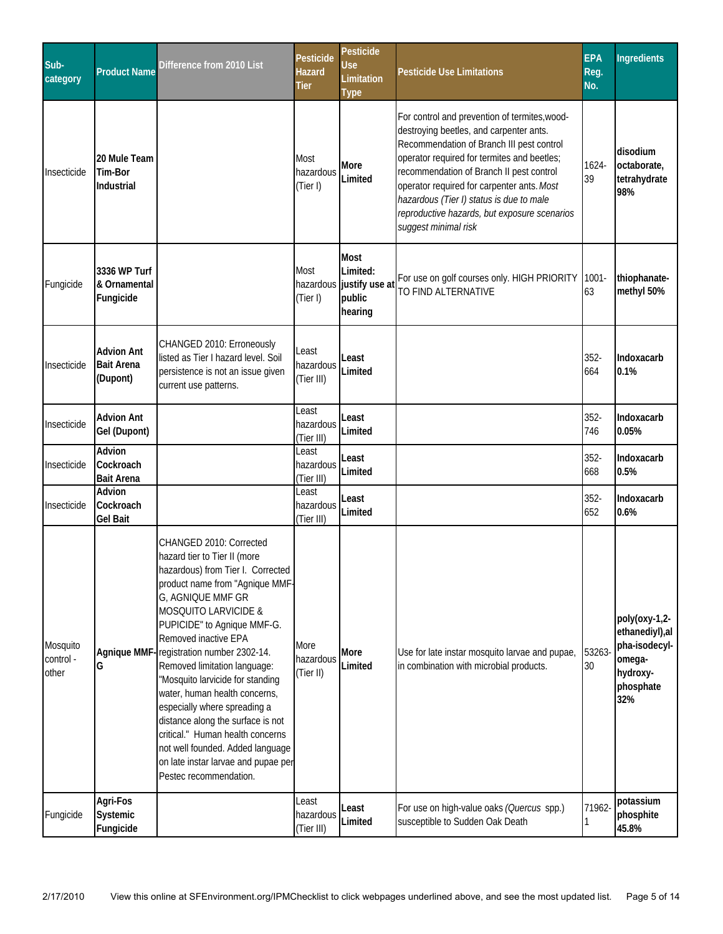| Sub-<br>category               | <b>Product Name</b>                                | Difference from 2010 List                                                                                                                                                                                                                                                                                                                                                                                                                                                                                                                                                                                     | <b>Pesticide</b><br>Hazard<br>Tier | <b>Pesticide</b><br>Use<br>Limitation<br><b>Type</b>                     | <b>Pesticide Use Limitations</b>                                                                                                                                                                                                                                                                                                                                                                   | <b>EPA</b><br>Reg.<br>No. | <b>Ingredients</b>                                                                          |
|--------------------------------|----------------------------------------------------|---------------------------------------------------------------------------------------------------------------------------------------------------------------------------------------------------------------------------------------------------------------------------------------------------------------------------------------------------------------------------------------------------------------------------------------------------------------------------------------------------------------------------------------------------------------------------------------------------------------|------------------------------------|--------------------------------------------------------------------------|----------------------------------------------------------------------------------------------------------------------------------------------------------------------------------------------------------------------------------------------------------------------------------------------------------------------------------------------------------------------------------------------------|---------------------------|---------------------------------------------------------------------------------------------|
| Insecticide                    | 20 Mule Team<br>Tim-Bor<br>Industrial              |                                                                                                                                                                                                                                                                                                                                                                                                                                                                                                                                                                                                               | Most<br>hazardous<br>(Tier I)      | More<br>Limited                                                          | For control and prevention of termites, wood-<br>destroying beetles, and carpenter ants.<br>Recommendation of Branch III pest control<br>operator required for termites and beetles;<br>recommendation of Branch II pest control<br>operator required for carpenter ants. Most<br>hazardous (Tier I) status is due to male<br>reproductive hazards, but exposure scenarios<br>suggest minimal risk | 1624-<br>39               | disodium<br>octaborate,<br>tetrahydrate<br>98%                                              |
| Fungicide                      | 3336 WP Turf<br>& Ornamental<br>Fungicide          |                                                                                                                                                                                                                                                                                                                                                                                                                                                                                                                                                                                                               | Most<br>(Tier I)                   | <b>Most</b><br>Limited:<br>hazardous justify use at<br>public<br>hearing | For use on golf courses only. HIGH PRIORITY<br>TO FIND ALTERNATIVE                                                                                                                                                                                                                                                                                                                                 | $1001 -$<br>63            | thiophanate-<br>methyl 50%                                                                  |
| Insecticide                    | <b>Advion Ant</b><br><b>Bait Arena</b><br>(Dupont) | CHANGED 2010: Erroneously<br>listed as Tier I hazard level. Soil<br>persistence is not an issue given<br>current use patterns.                                                                                                                                                                                                                                                                                                                                                                                                                                                                                | Least<br>hazardous<br>(Tier III)   | Least<br>Limited                                                         |                                                                                                                                                                                                                                                                                                                                                                                                    | $352 -$<br>664            | Indoxacarb<br>0.1%                                                                          |
| Insecticide                    | <b>Advion Ant</b><br>Gel (Dupont)                  |                                                                                                                                                                                                                                                                                                                                                                                                                                                                                                                                                                                                               | Least<br>hazardous<br>(Tier III)   | Least<br>Limited                                                         |                                                                                                                                                                                                                                                                                                                                                                                                    | $352 -$<br>746            | Indoxacarb<br>0.05%                                                                         |
| Insecticide                    | Advion<br>Cockroach<br><b>Bait Arena</b>           |                                                                                                                                                                                                                                                                                                                                                                                                                                                                                                                                                                                                               | Least<br>hazardous<br>(Tier III)   | Least<br>Limited                                                         |                                                                                                                                                                                                                                                                                                                                                                                                    | $352 -$<br>668            | Indoxacarb<br>0.5%                                                                          |
| Insecticide                    | Advion<br>Cockroach<br>Gel Bait                    |                                                                                                                                                                                                                                                                                                                                                                                                                                                                                                                                                                                                               | Least<br>hazardous<br>(Tier III)   | Least<br>Limited                                                         |                                                                                                                                                                                                                                                                                                                                                                                                    | $352 -$<br>652            | Indoxacarb<br>0.6%                                                                          |
| Mosquito<br>control -<br>other | G                                                  | CHANGED 2010: Corrected<br>hazard tier to Tier II (more<br>hazardous) from Tier I. Corrected<br>product name from "Agnique MMF-<br>G, AGNIQUE MMF GR<br><b>MOSQUITO LARVICIDE &amp;</b><br>PUPICIDE" to Agnique MMF-G.<br>Removed inactive EPA<br>Agnique MMF-registration number 2302-14.<br>Removed limitation language:<br>"Mosquito larvicide for standing<br>water, human health concerns,<br>especially where spreading a<br>distance along the surface is not<br>critical." Human health concerns<br>not well founded. Added language<br>on late instar larvae and pupae per<br>Pestec recommendation. | More<br>hazardous<br>(Tier II)     | More<br>Limited                                                          | Use for late instar mosquito larvae and pupae,<br>in combination with microbial products.                                                                                                                                                                                                                                                                                                          | 53263-<br>$30\,$          | poly(oxy-1,2-<br>ethanediyl), al<br>pha-isodecyl-<br>omega-<br>hydroxy-<br>phosphate<br>32% |
| Fungicide                      | Agri-Fos<br>Systemic<br>Fungicide                  |                                                                                                                                                                                                                                                                                                                                                                                                                                                                                                                                                                                                               | Least<br>hazardous<br>(Tier III)   | Least<br>Limited                                                         | For use on high-value oaks (Quercus spp.)<br>susceptible to Sudden Oak Death                                                                                                                                                                                                                                                                                                                       | 71962-                    | potassium<br>phosphite<br>45.8%                                                             |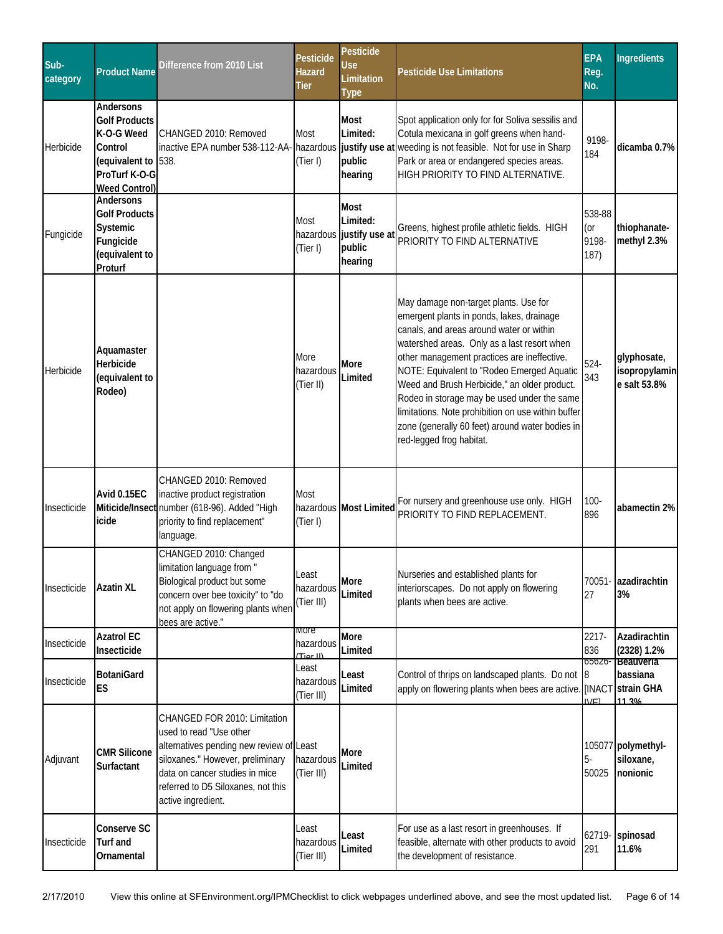| Sub-<br>category | <b>Product Name</b>                                                                                                        | Difference from 2010 List                                                                                                                                                                                                             | Pesticide<br>Hazard<br>Tier      | Pesticide<br>Use<br>Limitation<br><b>Type</b>                            | <b>Pesticide Use Limitations</b>                                                                                                                                                                                                                                                                                                                                                                                                                                                                               | <b>EPA</b><br>Reg.<br>No.                 | <b>Ingredients</b>                           |
|------------------|----------------------------------------------------------------------------------------------------------------------------|---------------------------------------------------------------------------------------------------------------------------------------------------------------------------------------------------------------------------------------|----------------------------------|--------------------------------------------------------------------------|----------------------------------------------------------------------------------------------------------------------------------------------------------------------------------------------------------------------------------------------------------------------------------------------------------------------------------------------------------------------------------------------------------------------------------------------------------------------------------------------------------------|-------------------------------------------|----------------------------------------------|
| Herbicide        | Andersons<br><b>Golf Products</b><br>K-O-G Weed<br>Control<br>(equivalent to 538.<br>ProTurf K-O-G<br><b>Weed Control)</b> | CHANGED 2010: Removed                                                                                                                                                                                                                 | Most<br>(Tier I)                 | <b>Most</b><br>Limited:<br>public<br>hearing                             | Spot application only for for Soliva sessilis and<br>Cotula mexicana in golf greens when hand-<br>inactive EPA number 538-112-AA- hazardous justify use at weeding is not feasible. Not for use in Sharp<br>Park or area or endangered species areas.<br>HIGH PRIORITY TO FIND ALTERNATIVE.                                                                                                                                                                                                                    | 9198-<br>184                              | dicamba 0.7%                                 |
| Fungicide        | Andersons<br><b>Golf Products</b><br>Systemic<br>Fungicide<br>(equivalent to<br>Proturf                                    |                                                                                                                                                                                                                                       | Most<br>(Tier I)                 | <b>Most</b><br>Limited:<br>hazardous justify use at<br>public<br>hearing | Greens, highest profile athletic fields. HIGH<br>PRIORITY TO FIND ALTERNATIVE                                                                                                                                                                                                                                                                                                                                                                                                                                  | 538-88<br>(or<br>9198-<br>187)            | thiophanate-<br>methyl 2.3%                  |
| Herbicide        | Aquamaster<br>Herbicide<br>(equivalent to<br>Rodeo)                                                                        |                                                                                                                                                                                                                                       | More<br>hazardous<br>(Tier II)   | More<br>Limited                                                          | May damage non-target plants. Use for<br>emergent plants in ponds, lakes, drainage<br>canals, and areas around water or within<br>watershed areas. Only as a last resort when<br>other management practices are ineffective.<br>NOTE: Equivalent to "Rodeo Emerged Aquatic<br>Weed and Brush Herbicide," an older product.<br>Rodeo in storage may be used under the same<br>limitations. Note prohibition on use within buffer<br>zone (generally 60 feet) around water bodies in<br>red-legged frog habitat. | $524 -$<br>343                            | glyphosate,<br>isopropylamin<br>e salt 53.8% |
| Insecticide      | Avid 0.15EC<br>icide                                                                                                       | CHANGED 2010: Removed<br>inactive product registration<br>Miticide/Insect number (618-96). Added "High<br>priority to find replacement"<br>language.                                                                                  | Most<br>(Tier I)                 | hazardous Most Limited                                                   | For nursery and greenhouse use only. HIGH<br>PRIORITY TO FIND REPLACEMENT.                                                                                                                                                                                                                                                                                                                                                                                                                                     | $100 -$<br>896                            | abamectin 2%                                 |
| Insecticide      | <b>Azatin XL</b>                                                                                                           | CHANGED 2010: Changed<br>limitation language from "<br>Biological product but some<br>concern over bee toxicity" to "do<br>not apply on flowering plants when<br>bees are active."                                                    | Least<br>hazardous<br>(Tier III) | More<br>Limited                                                          | Nurseries and established plants for<br>interiorscapes. Do not apply on flowering<br>plants when bees are active.                                                                                                                                                                                                                                                                                                                                                                                              | 27                                        | 70051- azadirachtin<br>3%                    |
| Insecticide      | <b>Azatrol EC</b><br>Insecticide                                                                                           |                                                                                                                                                                                                                                       | more<br>hazardous<br>(Tior II)   | More<br>Limited                                                          |                                                                                                                                                                                                                                                                                                                                                                                                                                                                                                                | 2217-<br>836                              | Azadirachtin<br>$(2328)$ 1.2%                |
| Insecticide      | <b>BotaniGard</b><br><b>ES</b>                                                                                             |                                                                                                                                                                                                                                       | Least<br>hazardous<br>(Tier III) | Least<br>Limited                                                         | Control of thrips on landscaped plants. Do not<br>apply on flowering plants when bees are active                                                                                                                                                                                                                                                                                                                                                                                                               | 65626-<br>$\overline{8}$<br>[INACT<br>NFI | Beauveria<br>bassiana<br>strain GHA<br>11 3% |
| Adjuvant         | <b>CMR Silicone</b><br>Surfactant                                                                                          | CHANGED FOR 2010: Limitation<br>used to read "Use other<br>alternatives pending new review of Least<br>siloxanes." However, preliminary<br>data on cancer studies in mice<br>referred to D5 Siloxanes, not this<br>active ingredient. | hazardous<br>(Tier III)          | More<br>Limited                                                          |                                                                                                                                                                                                                                                                                                                                                                                                                                                                                                                | 5-<br>50025                               | 105077 polymethyl-<br>siloxane,<br>nonionic  |
| Insecticide      | Conserve SC<br>Turf and<br>Ornamental                                                                                      |                                                                                                                                                                                                                                       | Least<br>hazardous<br>(Tier III) | Least<br>Limited                                                         | For use as a last resort in greenhouses. If<br>feasible, alternate with other products to avoid<br>the development of resistance.                                                                                                                                                                                                                                                                                                                                                                              | 62719-<br>291                             | spinosad<br>11.6%                            |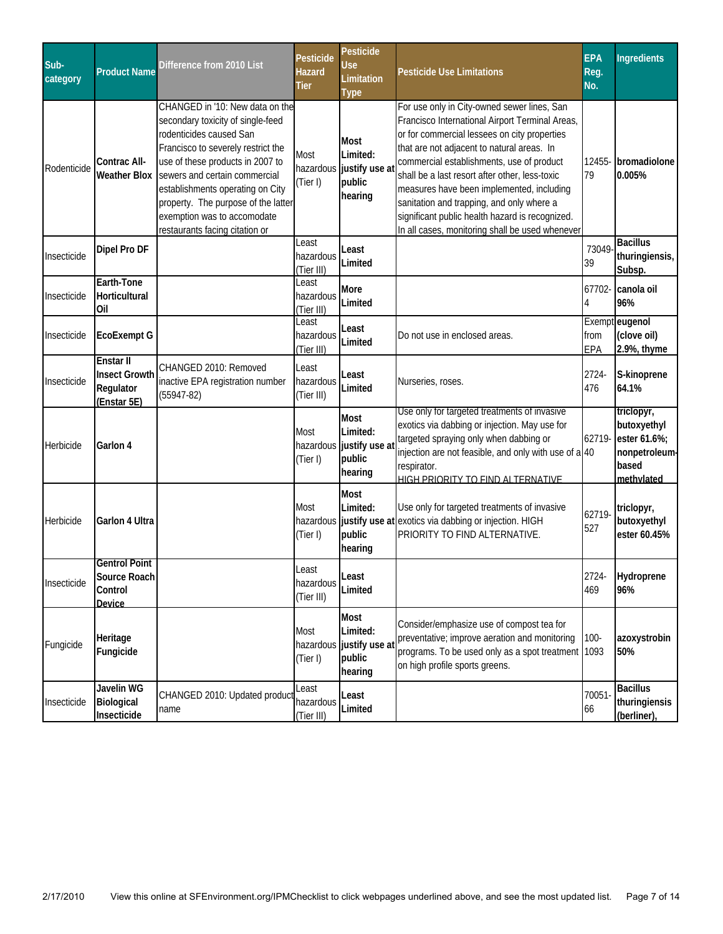| Sub-<br>category | <b>Product Name</b>                                           | Difference from 2010 List                                                                                                                                                                                                                                                                                                                              | Pesticide<br>Hazard<br><b>Tier</b> | Pesticide<br><b>Use</b><br>Limitation<br><b>Type</b>                     | <b>Pesticide Use Limitations</b>                                                                                                                                                                                                                                                                                                                                                                                                                                                            | <b>EPA</b><br>Reg.<br>No. | <b>Ingredients</b>                                                                |
|------------------|---------------------------------------------------------------|--------------------------------------------------------------------------------------------------------------------------------------------------------------------------------------------------------------------------------------------------------------------------------------------------------------------------------------------------------|------------------------------------|--------------------------------------------------------------------------|---------------------------------------------------------------------------------------------------------------------------------------------------------------------------------------------------------------------------------------------------------------------------------------------------------------------------------------------------------------------------------------------------------------------------------------------------------------------------------------------|---------------------------|-----------------------------------------------------------------------------------|
| Rodenticide      | Contrac All-<br><b>Weather Blox</b>                           | CHANGED in '10: New data on the<br>secondary toxicity of single-feed<br>rodenticides caused San<br>Francisco to severely restrict the<br>use of these products in 2007 to<br>sewers and certain commercial<br>establishments operating on City<br>property. The purpose of the latter<br>exemption was to accomodate<br>restaurants facing citation or | Most<br>(Tier I)                   | <b>Most</b><br>Limited:<br>hazardous justify use at<br>public<br>hearing | For use only in City-owned sewer lines, San<br>Francisco International Airport Terminal Areas,<br>or for commercial lessees on city properties<br>that are not adjacent to natural areas. In<br>commercial establishments, use of product<br>shall be a last resort after other, less-toxic<br>measures have been implemented, including<br>sanitation and trapping, and only where a<br>significant public health hazard is recognized.<br>In all cases, monitoring shall be used whenever | 79                        | 12455- bromadiolone<br>0.005%                                                     |
| Insecticide      | Dipel Pro DF                                                  |                                                                                                                                                                                                                                                                                                                                                        | Least<br>hazardous<br>(Tier III)   | Least<br>Limited                                                         |                                                                                                                                                                                                                                                                                                                                                                                                                                                                                             | 73049<br>39               | <b>Bacillus</b><br>thuringiensis,<br>Subsp.                                       |
| Insecticide      | Earth-Tone<br>Horticultural<br>Oil                            |                                                                                                                                                                                                                                                                                                                                                        | Least<br>hazardous<br>(Tier III)   | More<br>Limited                                                          |                                                                                                                                                                                                                                                                                                                                                                                                                                                                                             | 4                         | 67702- canola oil<br>96%                                                          |
| Insecticide      | <b>EcoExempt G</b>                                            |                                                                                                                                                                                                                                                                                                                                                        | Least<br>hazardous<br>(Tier III)   | Least<br>Limited                                                         | Do not use in enclosed areas.                                                                                                                                                                                                                                                                                                                                                                                                                                                               | from<br>EPA               | Exempt eugenol<br>(clove oil)<br>2.9%, thyme                                      |
| Insecticide      | Enstar II<br><b>Insect Growth</b><br>Regulator<br>(Enstar 5E) | CHANGED 2010: Removed<br>inactive EPA registration number<br>$(55947-82)$                                                                                                                                                                                                                                                                              | Least<br>hazardous<br>(Tier III)   | Least<br>Limited                                                         | Nurseries, roses.                                                                                                                                                                                                                                                                                                                                                                                                                                                                           | 2724-<br>476              | S-kinoprene<br>64.1%                                                              |
| Herbicide        | Garlon 4                                                      |                                                                                                                                                                                                                                                                                                                                                        | Most<br>(Tier I)                   | <b>Most</b><br>Limited:<br>hazardous justify use at<br>public<br>hearing | Use only for targeted treatments of invasive<br>exotics via dabbing or injection. May use for<br>targeted spraying only when dabbing or<br>injection are not feasible, and only with use of a 40<br>respirator.<br><u>HIGH PRIORITY TO FIND AI TERNATIVE</u>                                                                                                                                                                                                                                | 62719-                    | triclopyr,<br>butoxyethyl<br>ester 61.6%;<br>nonpetroleum-<br>based<br>methylated |
| Herbicide        | Garlon 4 Ultra                                                |                                                                                                                                                                                                                                                                                                                                                        | Most<br>(Tier I)                   | <b>Most</b><br>Limited:<br>public<br>hearing                             | Use only for targeted treatments of invasive<br>hazardous justify use at exotics via dabbing or injection. HIGH<br>PRIORITY TO FIND ALTERNATIVE.                                                                                                                                                                                                                                                                                                                                            | 62719-<br>527             | triclopyr,<br>butoxyethyl<br>ester 60.45%                                         |
| Insecticide      | <b>Gentrol Point</b><br>Source Roach<br>Control<br>Device     |                                                                                                                                                                                                                                                                                                                                                        | Least<br>hazardous<br>(Tier III)   | Least<br>Limited                                                         |                                                                                                                                                                                                                                                                                                                                                                                                                                                                                             | 2724-<br>469              | Hydroprene<br>96%                                                                 |
| Fungicide        | Heritage<br>Fungicide                                         |                                                                                                                                                                                                                                                                                                                                                        | Most<br>hazardous<br>(Tier I)      | Most<br>Limited:<br>justify use at<br>public<br>hearing                  | Consider/emphasize use of compost tea for<br>preventative; improve aeration and monitoring<br>programs. To be used only as a spot treatment 1093<br>on high profile sports greens.                                                                                                                                                                                                                                                                                                          | $100 -$                   | azoxystrobin<br>50%                                                               |
| Insecticide      | Javelin WG<br>Biological<br>Insecticide                       | CHANGED 2010: Updated product<br>name                                                                                                                                                                                                                                                                                                                  | Least<br>hazardous<br>(Tier III)   | Least<br>Limited                                                         |                                                                                                                                                                                                                                                                                                                                                                                                                                                                                             | 70051<br>66               | <b>Bacillus</b><br>thuringiensis<br>(berliner),                                   |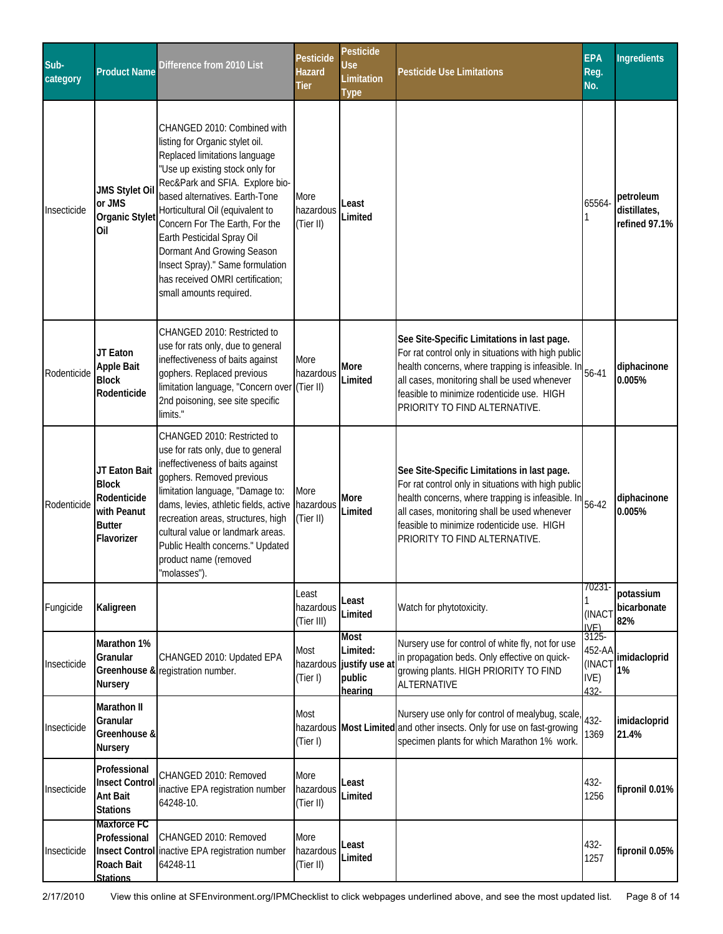| Sub-<br>category | <b>Product Name</b>                                                                        | Difference from 2010 List                                                                                                                                                                                                                                                                                                                                                                                                                    | Pesticide<br>Hazard<br>Tier      | Pesticide<br>Use<br>Limitation<br><b>Type</b>                    | <b>Pesticide Use Limitations</b>                                                                                                                                                                                                                                                       | <b>EPA</b><br>Reg.<br>No.                    | <b>Ingredients</b>                         |
|------------------|--------------------------------------------------------------------------------------------|----------------------------------------------------------------------------------------------------------------------------------------------------------------------------------------------------------------------------------------------------------------------------------------------------------------------------------------------------------------------------------------------------------------------------------------------|----------------------------------|------------------------------------------------------------------|----------------------------------------------------------------------------------------------------------------------------------------------------------------------------------------------------------------------------------------------------------------------------------------|----------------------------------------------|--------------------------------------------|
| Insecticide      | <b>JMS Stylet Oil</b><br>or JMS<br>Organic Stylet<br>Oil                                   | CHANGED 2010: Combined with<br>listing for Organic stylet oil.<br>Replaced limitations language<br>"Use up existing stock only for<br>Rec&Park and SFIA. Explore bio-<br>based alternatives. Earth-Tone<br>Horticultural Oil (equivalent to<br>Concern For The Earth, For the<br>Earth Pesticidal Spray Oil<br>Dormant And Growing Season<br>Insect Spray)." Same formulation<br>has received OMRI certification;<br>small amounts required. | More<br>hazardous<br>(Tier II)   | Least<br>Limited                                                 |                                                                                                                                                                                                                                                                                        | 65564-                                       | petroleum<br>distillates,<br>refined 97.1% |
| Rodenticide      | JT Eaton<br><b>Apple Bait</b><br><b>Block</b><br>Rodenticide                               | CHANGED 2010: Restricted to<br>use for rats only, due to general<br>ineffectiveness of baits against<br>gophers. Replaced previous<br>limitation language, "Concern over (Tier II)<br>2nd poisoning, see site specific<br>limits."                                                                                                                                                                                                           | More<br>hazardous                | More<br>Limited                                                  | See Site-Specific Limitations in last page.<br>For rat control only in situations with high public<br>health concerns, where trapping is infeasible. In<br>all cases, monitoring shall be used whenever<br>feasible to minimize rodenticide use. HIGH<br>PRIORITY TO FIND ALTERNATIVE. | $56 - 41$                                    | diphacinone<br>0.005%                      |
| Rodenticide      | JT Eaton Bait<br><b>Block</b><br>Rodenticide<br>with Peanut<br><b>Butter</b><br>Flavorizer | CHANGED 2010: Restricted to<br>use for rats only, due to general<br>ineffectiveness of baits against<br>gophers. Removed previous<br>limitation language, "Damage to:<br>dams, levies, athletic fields, active<br>recreation areas, structures, high<br>cultural value or landmark areas.<br>Public Health concerns." Updated<br>product name (removed<br>"molasses").                                                                       | More<br>hazardous<br>(Tier II)   | More<br>Limited                                                  | See Site-Specific Limitations in last page.<br>For rat control only in situations with high public<br>health concerns, where trapping is infeasible. In<br>all cases, monitoring shall be used whenever<br>feasible to minimize rodenticide use. HIGH<br>PRIORITY TO FIND ALTERNATIVE. | 56-42                                        | diphacinone<br>0.005%                      |
| Fungicide        | Kaligreen                                                                                  |                                                                                                                                                                                                                                                                                                                                                                                                                                              | Least<br>hazardous<br>(Tier III) | Least.<br>Limited                                                | Watch for phytotoxicity.                                                                                                                                                                                                                                                               | 70231-<br>(INACT<br>IVF)                     | potassium<br>bicarbonate<br>82%            |
| Insecticide      | Marathon 1%<br>Granular<br><b>Nursery</b>                                                  | CHANGED 2010: Updated EPA<br>Greenhouse & registration number.                                                                                                                                                                                                                                                                                                                                                                               | Most<br>(Tier I)                 | Most<br>Limited:<br>hazardous justify use a<br>public<br>hearing | Nursery use for control of white fly, not for use<br>in propagation beds. Only effective on quick-<br>growing plants. HIGH PRIORITY TO FIND<br>ALTERNATIVE                                                                                                                             | $3125 -$<br>452-AA<br>(INACT<br>IVE)<br>432- | imidacloprid<br>1%                         |
| Insecticide      | Marathon II<br>Granular<br>Greenhouse &<br><b>Nursery</b>                                  |                                                                                                                                                                                                                                                                                                                                                                                                                                              | Most<br>(Tier I)                 |                                                                  | Nursery use only for control of mealybug, scale,<br>hazardous Most Limited and other insects. Only for use on fast-growing<br>specimen plants for which Marathon 1% work.                                                                                                              | 432-<br>1369                                 | imidacloprid<br>21.4%                      |
| Insecticide      | Professional<br><b>Insect Control</b><br>Ant Bait<br><b>Stations</b>                       | CHANGED 2010: Removed<br>inactive EPA registration number<br>64248-10.                                                                                                                                                                                                                                                                                                                                                                       | More<br>hazardous<br>(Tier II)   | Least<br>Limited                                                 |                                                                                                                                                                                                                                                                                        | 432-<br>1256                                 | fipronil 0.01%                             |
| Insecticide      | Maxforce FC<br>Professional<br>Roach Bait<br><b>Stations</b>                               | CHANGED 2010: Removed<br>Insect Control inactive EPA registration number<br>64248-11                                                                                                                                                                                                                                                                                                                                                         | More<br>hazardous<br>(Tier II)   | Least<br>Limited                                                 |                                                                                                                                                                                                                                                                                        | 432-<br>1257                                 | fipronil 0.05%                             |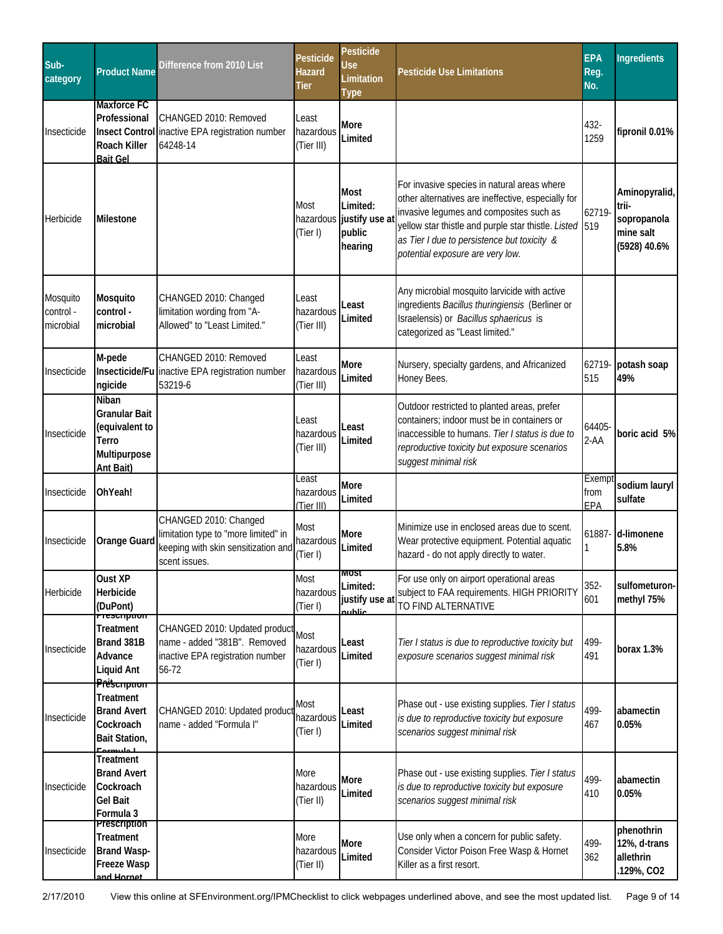| Sub-<br>category                   | <b>Product Name</b>                                                                                          | Difference from 2010 List                                                                                             | <b>Pesticide</b><br><b>Hazard</b><br>Tier | <b>Pesticide</b><br>Use<br>Limitation<br><b>Type</b>                    | <b>Pesticide Use Limitations</b>                                                                                                                                                                                                                                                           | <b>EPA</b><br>Reg.<br>No. | <b>Ingredients</b>                                                 |
|------------------------------------|--------------------------------------------------------------------------------------------------------------|-----------------------------------------------------------------------------------------------------------------------|-------------------------------------------|-------------------------------------------------------------------------|--------------------------------------------------------------------------------------------------------------------------------------------------------------------------------------------------------------------------------------------------------------------------------------------|---------------------------|--------------------------------------------------------------------|
| Insecticide                        | <b>Maxforce FC</b><br>Professional<br><b>Insect Control</b><br>Roach Killer<br><b>Bait Gel</b>               | CHANGED 2010: Removed<br>inactive EPA registration number<br>64248-14                                                 | Least<br>hazardous<br>(Tier III)          | More<br>Limited                                                         |                                                                                                                                                                                                                                                                                            | 432-<br>1259              | fipronil 0.01%                                                     |
| Herbicide                          | <b>Milestone</b>                                                                                             |                                                                                                                       | Most<br>(Tier I)                          | <b>Most</b><br>Limited:<br>hazardous justify use a<br>public<br>hearing | For invasive species in natural areas where<br>other alternatives are ineffective, especially for<br>invasive legumes and composites such as<br>yellow star thistle and purple star thistle. Listed 519<br>as Tier I due to persistence but toxicity &<br>potential exposure are very low. | 62719-                    | Aminopyralid,<br>trii-<br>sopropanola<br>mine salt<br>(5928) 40.6% |
| Mosquito<br>control -<br>microbial | Mosquito<br>control -<br>microbial                                                                           | CHANGED 2010: Changed<br>limitation wording from "A-<br>Allowed" to "Least Limited."                                  | Least<br>hazardous<br>(Tier III)          | Least<br>Limited                                                        | Any microbial mosquito larvicide with active<br>ingredients Bacillus thuringiensis (Berliner or<br>Israelensis) or Bacillus sphaericus is<br>categorized as "Least limited."                                                                                                               |                           |                                                                    |
| Insecticide                        | M-pede<br>ngicide                                                                                            | CHANGED 2010: Removed<br>Insecticide/Fu inactive EPA registration number<br>53219-6                                   | Least<br>hazardous<br>(Tier III)          | More<br>Limited                                                         | Nursery, specialty gardens, and Africanized<br>Honey Bees.                                                                                                                                                                                                                                 | 62719-<br>515             | potash soap<br>49%                                                 |
| Insecticide                        | Niban<br>Granular Bait<br>(equivalent to<br>Terro<br>Multipurpose<br>Ant Bait)                               |                                                                                                                       | Least<br>hazardous<br>(Tier III)          | Least<br>Limited                                                        | Outdoor restricted to planted areas, prefer<br>containers; indoor must be in containers or<br>inaccessible to humans. Tier I status is due to<br>reproductive toxicity but exposure scenarios<br>suggest minimal risk                                                                      | 64405<br>$2 - AA$         | boric acid 5%                                                      |
| Insecticide                        | OhYeah!                                                                                                      |                                                                                                                       | Least<br>hazardous<br>(Tier III)          | More<br>Limited                                                         |                                                                                                                                                                                                                                                                                            | Exemp<br>from<br>EPA      | sodium lauryl<br>sulfate                                           |
| Insecticide                        | Orange Guard                                                                                                 | CHANGED 2010: Changed<br>limitation type to "more limited" in<br>keeping with skin sensitization and<br>scent issues. | Most<br>hazardous<br>(Tier I)             | More<br>Limited                                                         | Minimize use in enclosed areas due to scent.<br>Wear protective equipment. Potential aquatic<br>hazard - do not apply directly to water.                                                                                                                                                   | 61887-                    | d-limonene<br>5.8%                                                 |
| Herbicide                          | Oust XP<br>Herbicide<br>(DuPont)                                                                             |                                                                                                                       | Most<br>hazardous<br>(Tier I)             | <b>IVIUSL</b><br>Limited:<br>justify use at<br><u>auhlic</u>            | For use only on airport operational areas<br>subject to FAA requirements. HIGH PRIORITY<br>TO FIND ALTERNATIVE                                                                                                                                                                             | $352 -$<br>601            | sulfometuron-<br>methyl 75%                                        |
| Insecticide                        | <del>riescription</del><br><b>Treatment</b><br>Brand 381B<br>Advance<br>Liquid Ant<br>Prës <del>empnom</del> | CHANGED 2010: Updated product<br>name - added "381B". Removed<br>inactive EPA registration number<br>56-72            | Most<br>hazardous<br>(Tier I)             | Least<br>Limited                                                        | Tier I status is due to reproductive toxicity but<br>exposure scenarios suggest minimal risk                                                                                                                                                                                               | 499-<br>491               | borax 1.3%                                                         |
| Insecticide                        | <b>Treatment</b><br><b>Brand Avert</b><br>Cockroach<br>Bait Station,<br>المستعملا                            | CHANGED 2010: Updated product<br>name - added "Formula I"                                                             | Most<br>hazardous<br>(Tier I)             | Least<br>Limited                                                        | Phase out - use existing supplies. Tier I status<br>is due to reproductive toxicity but exposure<br>scenarios suggest minimal risk                                                                                                                                                         | 499-<br>467               | abamectin<br>0.05%                                                 |
| Insecticide                        | <b>Treatment</b><br><b>Brand Avert</b><br>Cockroach<br>Gel Bait<br>Formula 3                                 |                                                                                                                       | More<br>hazardous<br>(Tier II)            | More<br>Limited                                                         | Phase out - use existing supplies. Tier I status<br>is due to reproductive toxicity but exposure<br>scenarios suggest minimal risk                                                                                                                                                         | 499-<br>410               | abamectin<br>0.05%                                                 |
| Insecticide                        | Prescription<br>Treatment<br><b>Brand Wasp-</b><br><b>Freeze Wasp</b><br>and Hornet                          |                                                                                                                       | More<br>hazardous<br>(Tier II)            | More<br>Limited                                                         | Use only when a concern for public safety.<br>Consider Victor Poison Free Wasp & Hornet<br>Killer as a first resort.                                                                                                                                                                       | 499-<br>362               | phenothrin<br>12%, d-trans<br>allethrin<br>.129%, CO2              |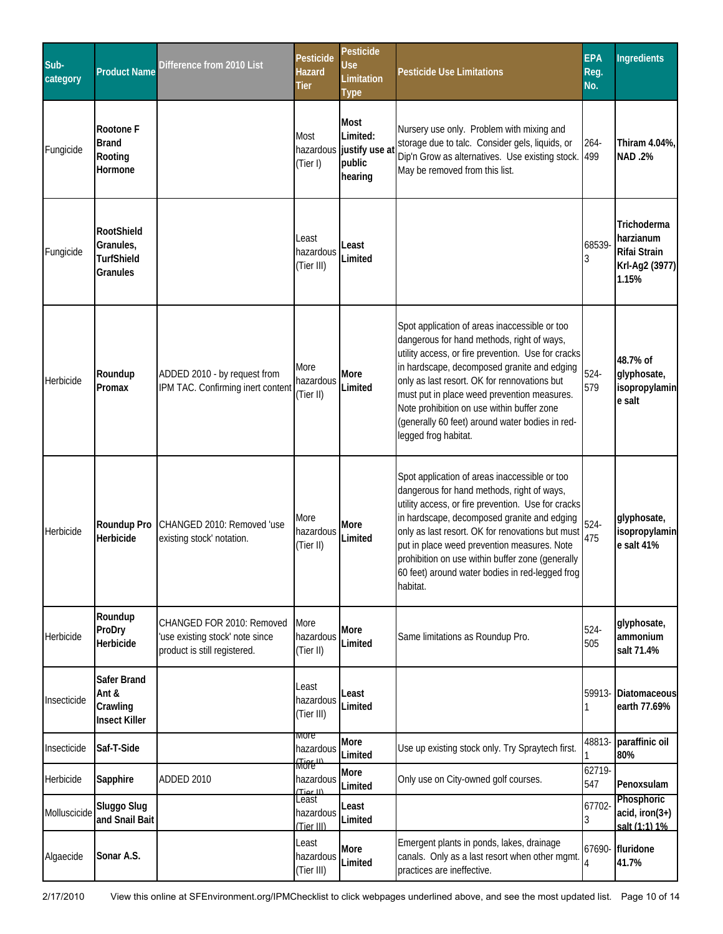| Sub-<br>category | <b>Product Name</b>                                      | Difference from 2010 List                                                                    | Pesticide<br><b>Hazard</b><br>Tier | Pesticide<br>Use<br>Limitation<br><b>Type</b>                    | <b>Pesticide Use Limitations</b>                                                                                                                                                                                                                                                                                                                                                                                         | <b>EPA</b><br>Reg.<br>No. | <b>Ingredients</b>                                                  |
|------------------|----------------------------------------------------------|----------------------------------------------------------------------------------------------|------------------------------------|------------------------------------------------------------------|--------------------------------------------------------------------------------------------------------------------------------------------------------------------------------------------------------------------------------------------------------------------------------------------------------------------------------------------------------------------------------------------------------------------------|---------------------------|---------------------------------------------------------------------|
| Fungicide        | Rootone F<br><b>Brand</b><br>Rooting<br>Hormone          |                                                                                              | Most<br>(Tier I)                   | Most<br>Limited:<br>hazardous justify use a<br>public<br>hearing | Nursery use only. Problem with mixing and<br>storage due to talc. Consider gels, liquids, or<br>Dip'n Grow as alternatives. Use existing stock.<br>May be removed from this list.                                                                                                                                                                                                                                        | $264 -$<br>499            | Thiram 4.04%,<br><b>NAD.2%</b>                                      |
| Fungicide        | RootShield<br>Granules,<br><b>TurfShield</b><br>Granules |                                                                                              | Least<br>hazardous<br>(Tier III)   | Least<br>Limited                                                 |                                                                                                                                                                                                                                                                                                                                                                                                                          | 68539-<br>3               | Trichoderma<br>harzianum<br>Rifai Strain<br>Krl-Ag2 (3977)<br>1.15% |
| Herbicide        | Roundup<br>Promax                                        | ADDED 2010 - by request from<br>IPM TAC. Confirming inert content                            | More<br>hazardous<br>(Tier II)     | <b>More</b><br>Limited                                           | Spot application of areas inaccessible or too<br>dangerous for hand methods, right of ways,<br>utility access, or fire prevention. Use for cracks<br>in hardscape, decomposed granite and edging<br>only as last resort. OK for rennovations but<br>must put in place weed prevention measures.<br>Note prohibition on use within buffer zone<br>(generally 60 feet) around water bodies in red-<br>legged frog habitat. | $524 -$<br>579            | 48.7% of<br>glyphosate,<br>isopropylamin<br>e salt                  |
| Herbicide        | Roundup Pro<br>Herbicide                                 | CHANGED 2010: Removed 'use<br>existing stock' notation.                                      | More<br>hazardous<br>(Tier II)     | More<br>Limited                                                  | Spot application of areas inaccessible or too<br>dangerous for hand methods, right of ways,<br>utility access, or fire prevention. Use for cracks<br>in hardscape, decomposed granite and edging<br>only as last resort. OK for renovations but must<br>put in place weed prevention measures. Note<br>prohibition on use within buffer zone (generally<br>60 feet) around water bodies in red-legged frog<br>habitat.   | $524 -$<br>475            | glyphosate,<br>isopropylamin<br>e salt 41%                          |
| Herbicide        | Roundup<br>ProDry<br>Herbicide                           | CHANGED FOR 2010: Removed<br>'use existing stock' note since<br>product is still registered. | More<br>hazardous<br>(Tier II)     | More<br>Limited                                                  | Same limitations as Roundup Pro.                                                                                                                                                                                                                                                                                                                                                                                         | 524-<br>505               | glyphosate,<br>ammonium<br>salt 71.4%                               |
| Insecticide      | Safer Brand<br>Ant &<br>Crawling<br><b>Insect Killer</b> |                                                                                              | Least<br>hazardous<br>(Tier III)   | Least<br>Limited                                                 |                                                                                                                                                                                                                                                                                                                                                                                                                          |                           | 59913- Diatomaceous<br>earth 77.69%                                 |
| Insecticide      | Saf-T-Side                                               |                                                                                              | iviore<br>hazardous<br>(Tier II)   | <b>More</b><br>Limited                                           | Use up existing stock only. Try Spraytech first.                                                                                                                                                                                                                                                                                                                                                                         |                           | 48813- paraffinic oil<br>80%                                        |
| Herbicide        | Sapphire                                                 | <b>ADDED 2010</b>                                                                            | hazardous<br>(Tior II)             | More<br>Limited                                                  | Only use on City-owned golf courses.                                                                                                                                                                                                                                                                                                                                                                                     | $62719-$<br>547           | Penoxsulam                                                          |
| Molluscicide     | Sluggo Slug<br>and Snail Bait                            |                                                                                              | Least<br>hazardous<br>(Tier III)   | Least<br>Limited                                                 |                                                                                                                                                                                                                                                                                                                                                                                                                          | 67702-<br>3               | Phosphoric<br>$acid, iron(3+)$<br>salt (1:1) 1%                     |
| Algaecide        | Sonar A.S.                                               |                                                                                              | Least<br>hazardous<br>(Tier III)   | More<br>Limited                                                  | Emergent plants in ponds, lakes, drainage<br>canals. Only as a last resort when other mgmt<br>practices are ineffective.                                                                                                                                                                                                                                                                                                 | 4                         | 67690- fluridone<br>41.7%                                           |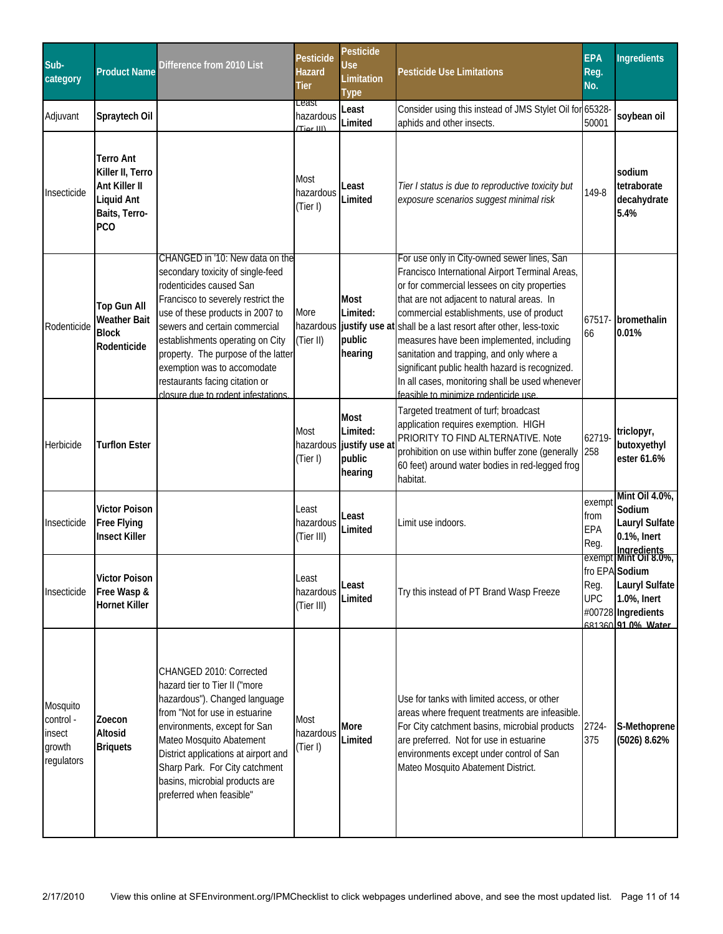| Sub-<br>category                                        | <b>Product Name</b>                                                                                | Difference from 2010 List                                                                                                                                                                                                                                                                                                                                                                    | Pesticide<br>Hazard<br><b>Tier</b> | Pesticide<br>Use<br>Limitation<br>Type                                  | <b>Pesticide Use Limitations</b>                                                                                                                                                                                                                                                                                                                                                                                                                                                                                                                             | <b>EPA</b><br>Reg.<br>No.     | <b>Ingredients</b>                                                                                     |
|---------------------------------------------------------|----------------------------------------------------------------------------------------------------|----------------------------------------------------------------------------------------------------------------------------------------------------------------------------------------------------------------------------------------------------------------------------------------------------------------------------------------------------------------------------------------------|------------------------------------|-------------------------------------------------------------------------|--------------------------------------------------------------------------------------------------------------------------------------------------------------------------------------------------------------------------------------------------------------------------------------------------------------------------------------------------------------------------------------------------------------------------------------------------------------------------------------------------------------------------------------------------------------|-------------------------------|--------------------------------------------------------------------------------------------------------|
| Adjuvant                                                | Spraytech Oil                                                                                      |                                                                                                                                                                                                                                                                                                                                                                                              | Least<br>hazardous<br>(Tior III)   | Least<br>Limited                                                        | Consider using this instead of JMS Stylet Oil for 65328<br>aphids and other insects.                                                                                                                                                                                                                                                                                                                                                                                                                                                                         | 50001                         | soybean oil                                                                                            |
| Insecticide                                             | <b>Terro Ant</b><br>Killer II, Terro<br>Ant Killer II<br>Liquid Ant<br>Baits, Terro-<br><b>PCO</b> |                                                                                                                                                                                                                                                                                                                                                                                              | Most<br>hazardous<br>(Tier I)      | Least<br>Limited                                                        | Tier I status is due to reproductive toxicity but<br>exposure scenarios suggest minimal risk                                                                                                                                                                                                                                                                                                                                                                                                                                                                 | 149-8                         | sodium<br>tetraborate<br>decahydrate<br>5.4%                                                           |
| Rodenticide                                             | <b>Top Gun All</b><br><b>Weather Bait</b><br><b>Block</b><br>Rodenticide                           | CHANGED in '10: New data on the<br>secondary toxicity of single-feed<br>rodenticides caused San<br>Francisco to severely restrict the<br>use of these products in 2007 to<br>sewers and certain commercial<br>establishments operating on City<br>property. The purpose of the latter<br>exemption was to accomodate<br>restaurants facing citation or<br>closure due to rodent infestations | More<br>(Tier II)                  | Most<br>Limited:<br>public<br>hearing                                   | For use only in City-owned sewer lines, San<br>Francisco International Airport Terminal Areas,<br>or for commercial lessees on city properties<br>that are not adjacent to natural areas. In<br>commercial establishments, use of product<br>hazardous justify use at shall be a last resort after other, less-toxic<br>measures have been implemented, including<br>sanitation and trapping, and only where a<br>significant public health hazard is recognized.<br>In all cases, monitoring shall be used whenever<br>feasible to minimize rodenticide use | 67517-<br>66                  | bromethalin<br>0.01%                                                                                   |
| Herbicide                                               | <b>Turflon Ester</b>                                                                               |                                                                                                                                                                                                                                                                                                                                                                                              | Most<br>(Tier I)                   | <b>Most</b><br>Limited:<br>hazardous justify use a<br>public<br>hearing | Targeted treatment of turf; broadcast<br>application requires exemption. HIGH<br>PRIORITY TO FIND ALTERNATIVE. Note<br>prohibition on use within buffer zone (generally<br>60 feet) around water bodies in red-legged frog<br>habitat.                                                                                                                                                                                                                                                                                                                       | 62719-<br>258                 | triclopyr,<br>butoxyethyl<br>ester 61.6%                                                               |
| Insecticide                                             | <b>Victor Poison</b><br>Free Flying<br><b>Insect Killer</b>                                        |                                                                                                                                                                                                                                                                                                                                                                                              | Least<br>hazardous<br>(Tier III)   | Least<br>Limited                                                        | Limit use indoors.                                                                                                                                                                                                                                                                                                                                                                                                                                                                                                                                           | exempt<br>from<br>EPA<br>Reg. | Mint Oil 4.0%,<br>Sodium<br>Lauryl Sulfate<br>0.1%, Inert<br>Rey. Ingredients<br>exempt Mint Oil 8.0%, |
| Insecticide                                             | <b>Victor Poison</b><br>Free Wasp &<br><b>Hornet Killer</b>                                        |                                                                                                                                                                                                                                                                                                                                                                                              | Least<br>hazardous<br>(Tier III)   | Least<br>Limited                                                        | Try this instead of PT Brand Wasp Freeze                                                                                                                                                                                                                                                                                                                                                                                                                                                                                                                     | Reg.<br><b>UPC</b>            | fro EPA Sodium<br><b>Lauryl Sulfate</b><br>1.0%, Inert<br>#00728 Ingredients<br>681360 91 0% Water     |
| Mosquito<br>control -<br>insect<br>growth<br>regulators | Zoecon<br>Altosid<br><b>Briquets</b>                                                               | CHANGED 2010: Corrected<br>hazard tier to Tier II ("more<br>hazardous"). Changed language<br>from "Not for use in estuarine<br>environments, except for San<br>Mateo Mosquito Abatement<br>District applications at airport and<br>Sharp Park. For City catchment<br>basins, microbial products are<br>preferred when feasible"                                                              | Most<br>hazardous<br>(Tier I)      | More<br>Limited                                                         | Use for tanks with limited access, or other<br>areas where frequent treatments are infeasible.<br>For City catchment basins, microbial products<br>are preferred. Not for use in estuarine<br>environments except under control of San<br>Mateo Mosquito Abatement District.                                                                                                                                                                                                                                                                                 | 2724-<br>375                  | S-Methoprene<br>(5026) 8.62%                                                                           |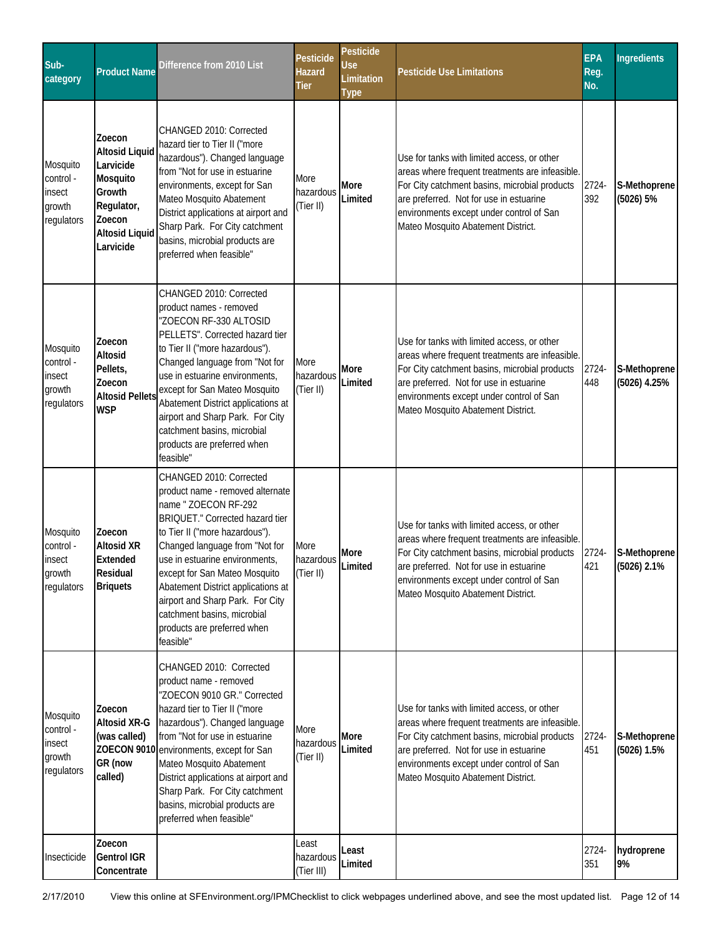| Sub-<br>category                                        | <b>Product Name</b>                                                                                                              | Difference from 2010 List                                                                                                                                                                                                                                                                                                                                                                                          | Pesticide<br>Hazard<br>Tier      | Pesticide<br>Use<br>Limitation<br><b>Type</b> | <b>Pesticide Use Limitations</b>                                                                                                                                                                                                                                             | <b>EPA</b><br>Reg.<br>No. | Ingredients                   |
|---------------------------------------------------------|----------------------------------------------------------------------------------------------------------------------------------|--------------------------------------------------------------------------------------------------------------------------------------------------------------------------------------------------------------------------------------------------------------------------------------------------------------------------------------------------------------------------------------------------------------------|----------------------------------|-----------------------------------------------|------------------------------------------------------------------------------------------------------------------------------------------------------------------------------------------------------------------------------------------------------------------------------|---------------------------|-------------------------------|
| Mosquito<br>control -<br>insect<br>growth<br>regulators | Zoecon<br><b>Altosid Liquid</b><br>Larvicide<br>Mosquito<br>Growth<br>Regulator,<br>Zoecon<br><b>Altosid Liquid</b><br>Larvicide | CHANGED 2010: Corrected<br>hazard tier to Tier II ("more<br>hazardous"). Changed language<br>from "Not for use in estuarine<br>environments, except for San<br>Mateo Mosquito Abatement<br>District applications at airport and<br>Sharp Park. For City catchment<br>basins, microbial products are<br>preferred when feasible"                                                                                    | More<br>hazardous<br>(Tier II)   | More<br>Limited                               | Use for tanks with limited access, or other<br>areas where frequent treatments are infeasible.<br>For City catchment basins, microbial products<br>are preferred. Not for use in estuarine<br>environments except under control of San<br>Mateo Mosquito Abatement District. | 2724-<br>392              | S-Methoprene<br>(5026) 5%     |
| Mosquito<br>control -<br>insect<br>growth<br>regulators | Zoecon<br>Altosid<br>Pellets,<br>Zoecon<br><b>Altosid Pellets</b><br><b>WSP</b>                                                  | CHANGED 2010: Corrected<br>product names - removed<br>"ZOECON RF-330 ALTOSID<br>PELLETS". Corrected hazard tier<br>to Tier II ("more hazardous").<br>Changed language from "Not for<br>use in estuarine environments,<br>except for San Mateo Mosquito<br>Abatement District applications at<br>airport and Sharp Park. For City<br>catchment basins, microbial<br>products are preferred when<br>feasible"        | More<br>hazardous<br>(Tier II)   | More<br>Limited                               | Use for tanks with limited access, or other<br>areas where frequent treatments are infeasible.<br>For City catchment basins, microbial products<br>are preferred. Not for use in estuarine<br>environments except under control of San<br>Mateo Mosquito Abatement District. | 2724-<br>448              | S-Methoprene<br>(5026) 4.25%  |
| Mosquito<br>control -<br>insect<br>growth<br>regulators | Zoecon<br><b>Altosid XR</b><br>Extended<br>Residual<br><b>Briquets</b>                                                           | CHANGED 2010: Corrected<br>product name - removed alternate<br>name " ZOECON RF-292<br>BRIQUET." Corrected hazard tier<br>to Tier II ("more hazardous").<br>Changed language from "Not for<br>use in estuarine environments,<br>except for San Mateo Mosquito<br>Abatement District applications at<br>airport and Sharp Park. For City<br>catchment basins, microbial<br>products are preferred when<br>feasible" | More<br>hazardous<br>(Tier II)   | More<br>Limited                               | Use for tanks with limited access, or other<br>areas where frequent treatments are infeasible.<br>For City catchment basins, microbial products<br>are preferred. Not for use in estuarine<br>environments except under control of San<br>Mateo Mosquito Abatement District. | 2724-<br>421              | S-Methoprene<br>$(5026)$ 2.1% |
| Mosquito<br>control -<br>insect<br>growth<br>regulators | Zoecon<br>Altosid XR-G<br>(was called)<br>GR (now<br>called)                                                                     | CHANGED 2010: Corrected<br>product name - removed<br>"ZOECON 9010 GR." Corrected<br>hazard tier to Tier II ("more<br>hazardous"). Changed language<br>from "Not for use in estuarine<br>ZOECON 9010 environments, except for San<br>Mateo Mosquito Abatement<br>District applications at airport and<br>Sharp Park. For City catchment<br>basins, microbial products are<br>preferred when feasible"               | More<br>hazardous<br>(Tier II)   | More<br>Limited                               | Use for tanks with limited access, or other<br>areas where frequent treatments are infeasible.<br>For City catchment basins, microbial products<br>are preferred. Not for use in estuarine<br>environments except under control of San<br>Mateo Mosquito Abatement District. | 2724-<br>451              | S-Methoprene<br>(5026) 1.5%   |
| Insecticide                                             | Zoecon<br><b>Gentrol IGR</b><br>Concentrate                                                                                      |                                                                                                                                                                                                                                                                                                                                                                                                                    | Least<br>hazardous<br>(Tier III) | Least<br>Limited                              |                                                                                                                                                                                                                                                                              | 2724-<br>351              | hydroprene<br>9%              |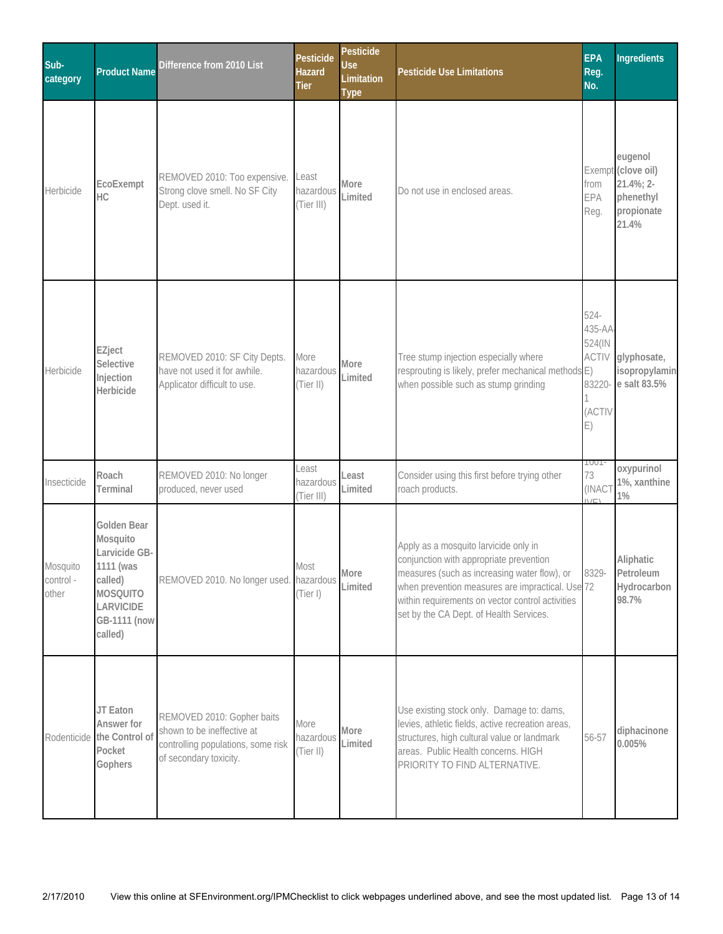| Sub-<br>category               | <b>Product Name</b>                                                                                                         | Difference from 2010 List                                                                                                | Pesticide<br><b>Hazard</b><br><b>Tier</b> | Pesticide<br><b>Use</b><br>Limitation<br><b>Type</b> | <b>Pesticide Use Limitations</b>                                                                                                                                                                                                                                                    | <b>EPA</b><br>Reg.<br>No.                                         | <b>Ingredients</b>                                                             |
|--------------------------------|-----------------------------------------------------------------------------------------------------------------------------|--------------------------------------------------------------------------------------------------------------------------|-------------------------------------------|------------------------------------------------------|-------------------------------------------------------------------------------------------------------------------------------------------------------------------------------------------------------------------------------------------------------------------------------------|-------------------------------------------------------------------|--------------------------------------------------------------------------------|
| Herbicide                      | EcoExempt<br>HC                                                                                                             | REMOVED 2010: Too expensive.<br>Strong clove smell. No SF City<br>Dept. used it.                                         | Least<br>hazardous<br>(Tier III)          | More<br>Limited                                      | Do not use in enclosed areas.                                                                                                                                                                                                                                                       | from<br>EPA<br>Reg.                                               | eugenol<br>Exempt (clove oil)<br>21.4%; 2-<br>phenethyl<br>propionate<br>21.4% |
| Herbicide                      | EZject<br>Selective<br>Injection<br>Herbicide                                                                               | REMOVED 2010: SF City Depts.<br>have not used it for awhile.<br>Applicator difficult to use.                             | More<br>hazardous<br>(Tier II)            | More<br>Limited                                      | Tree stump injection especially where<br>resprouting is likely, prefer mechanical methods E)<br>when possible such as stump grinding                                                                                                                                                | 524-<br>435-AA<br>524(IN<br><b>ACTIV</b><br>83220<br>(ACTIV<br>E) | glyphosate,<br>isopropylamin<br>e salt 83.5%                                   |
| Insecticide                    | Roach<br>Terminal                                                                                                           | REMOVED 2010: No longer<br>produced, never used                                                                          | Least<br>hazardous<br>(Tier III)          | Least<br>Limited                                     | Consider using this first before trying other<br>roach products.                                                                                                                                                                                                                    | <b>TUUT</b><br>73<br>(INACT                                       | oxypurinol<br>1%, xanthine<br>$1\%$                                            |
| Mosquito<br>control -<br>other | Golden Bear<br>Mosquito<br>Larvicide GB-<br>1111 (was<br>called)<br><b>MOSQUITO</b><br>LARVICIDE<br>GB-1111 (now<br>called) | REMOVED 2010. No longer used. hazardous                                                                                  | Most<br>(Tier I)                          | More<br>Limited                                      | Apply as a mosquito larvicide only in<br>conjunction with appropriate prevention<br>measures (such as increasing water flow), or<br>when prevention measures are impractical. Use 72<br>within requirements on vector control activities<br>set by the CA Dept. of Health Services. | 8329-                                                             | Aliphatic<br>Petroleum<br>Hydrocarbon<br>98.7%                                 |
| Rodenticide                    | JT Eaton<br>Answer for<br>the Control of<br>Pocket<br>Gophers                                                               | REMOVED 2010: Gopher baits<br>shown to be ineffective at<br>controlling populations, some risk<br>of secondary toxicity. | More<br>hazardous<br>(Tier II)            | More<br>Limited                                      | Use existing stock only. Damage to: dams,<br>levies, athletic fields, active recreation areas,<br>structures, high cultural value or landmark<br>areas. Public Health concerns. HIGH<br>PRIORITY TO FIND ALTERNATIVE.                                                               | 56-57                                                             | diphacinone<br>0.005%                                                          |